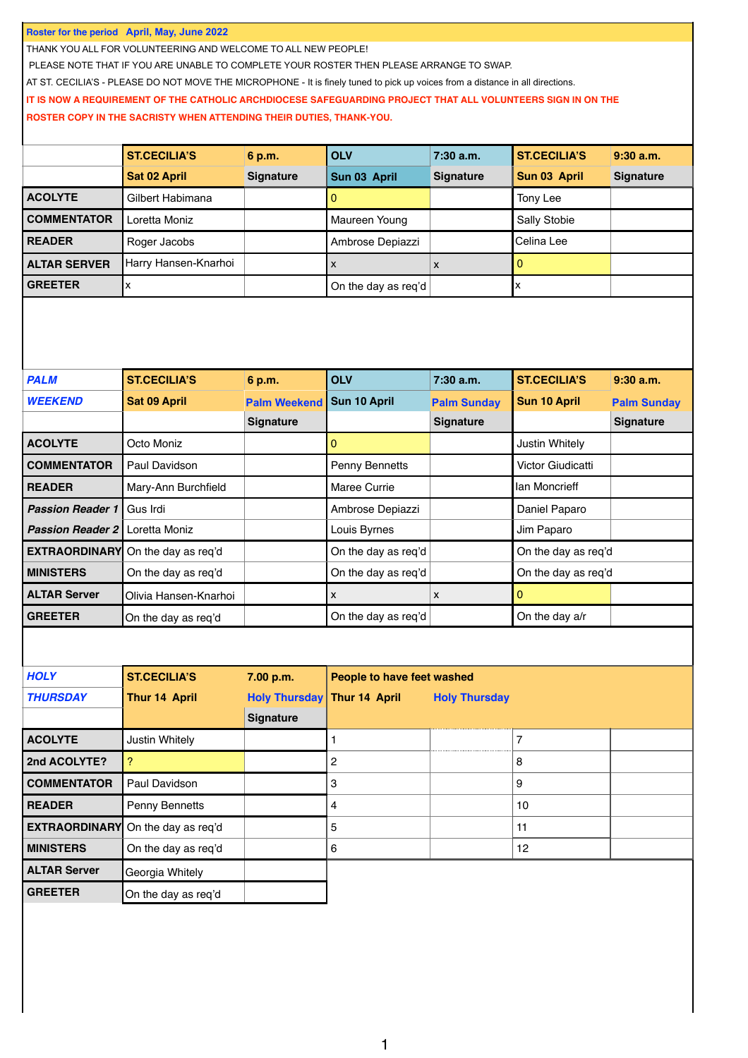**Roster for the period April, May, June 2022**

THANK YOU ALL FOR VOLUNTEERING AND WELCOME TO ALL NEW PEOPLE!

PLEASE NOTE THAT IF YOU ARE UNABLE TO COMPLETE YOUR ROSTER THEN PLEASE ARRANGE TO SWAP.

AT ST. CECILIA'S - PLEASE DO NOT MOVE THE MICROPHONE - It is finely tuned to pick up voices from a distance in all directions.

## **IT IS NOW A REQUIREMENT OF THE CATHOLIC ARCHDIOCESE SAFEGUARDING PROJECT THAT ALL VOLUNTEERS SIGN IN ON THE**

**ROSTER COPY IN THE SACRISTY WHEN ATTENDING THEIR DUTIES, THANK-YOU.**

|                     | <b>ST.CECILIA'S</b>  | 6 p.m.           | <b>OLV</b>          | $7:30$ a.m.      | <b>ST.CECILIA'S</b> | $9:30$ a.m.      |
|---------------------|----------------------|------------------|---------------------|------------------|---------------------|------------------|
|                     | <b>Sat 02 April</b>  | <b>Signature</b> | Sun 03 April        | <b>Signature</b> | Sun 03 April        | <b>Signature</b> |
| <b>ACOLYTE</b>      | Gilbert Habimana     |                  |                     |                  | Tony Lee            |                  |
| <b>COMMENTATOR</b>  | Loretta Moniz        |                  | Maureen Young       |                  | Sally Stobie        |                  |
| <b>READER</b>       | Roger Jacobs         |                  | Ambrose Depiazzi    |                  | lCelina Lee         |                  |
| <b>ALTAR SERVER</b> | Harry Hansen-Knarhoi |                  | X                   | X                |                     |                  |
| <b>GREETER</b>      |                      |                  | On the day as req'd |                  |                     |                  |

| <b>PALM</b>             | <b>ST.CECILIA'S</b>   | 6 p.m.              | <b>OLV</b>          | $7:30$ a.m.        | <b>ST.CECILIA'S</b> | $9:30$ a.m.        |
|-------------------------|-----------------------|---------------------|---------------------|--------------------|---------------------|--------------------|
| <b>WEEKEND</b>          | Sat 09 April          | <b>Palm Weekend</b> | Sun 10 April        | <b>Palm Sunday</b> | <b>Sun 10 April</b> | <b>Palm Sunday</b> |
|                         |                       | <b>Signature</b>    |                     | <b>Signature</b>   |                     | <b>Signature</b>   |
| <b>ACOLYTE</b>          | Octo Moniz            |                     | 0                   |                    | Justin Whitely      |                    |
| <b>COMMENTATOR</b>      | Paul Davidson         |                     | Penny Bennetts      |                    | Victor Giudicatti   |                    |
| <b>READER</b>           | Mary-Ann Burchfield   |                     | Maree Currie        |                    | lan Moncrieff       |                    |
| <b>Passion Reader 1</b> | Gus Irdi              |                     | Ambrose Depiazzi    |                    | Daniel Paparo       |                    |
| <b>Passion Reader 2</b> | Loretta Moniz         |                     | Louis Byrnes        |                    | Jim Paparo          |                    |
| <b>EXTRAORDINARY</b>    | On the day as req'd   |                     | On the day as req'd |                    | On the day as req'd |                    |
| <b>MINISTERS</b>        | On the day as req'd   |                     | On the day as req'd |                    | On the day as req'd |                    |
| <b>ALTAR Server</b>     | Olivia Hansen-Knarhoi |                     | X                   | X                  | 0                   |                    |
| <b>GREETER</b>          | On the day as req'd   |                     | On the day as reg'd |                    | On the day a/r      |                    |

| <b>HOLY</b>         | <b>ST.CECILIA'S</b>                      | 7.00 p.m.            | People to have feet washed            |  |    |  |
|---------------------|------------------------------------------|----------------------|---------------------------------------|--|----|--|
| <b>THURSDAY</b>     | Thur 14 April                            | <b>Holy Thursday</b> | Thur 14 April<br><b>Holy Thursday</b> |  |    |  |
|                     |                                          | <b>Signature</b>     |                                       |  |    |  |
| <b>ACOLYTE</b>      | Justin Whitely                           |                      |                                       |  | 7  |  |
| 2nd ACOLYTE?        |                                          |                      | 2                                     |  | 8  |  |
| <b>COMMENTATOR</b>  | Paul Davidson                            |                      | 3                                     |  | 9  |  |
| <b>READER</b>       | Penny Bennetts                           |                      | 4                                     |  | 10 |  |
|                     | <b>EXTRAORDINARY</b> On the day as req'd |                      | 5                                     |  | 11 |  |
| <b>I MINISTERS</b>  | On the day as req'd                      |                      | 6                                     |  | 12 |  |
| <b>ALTAR Server</b> | Georgia Whitely                          |                      |                                       |  |    |  |
| <b>GREETER</b>      | On the day as req'd                      |                      |                                       |  |    |  |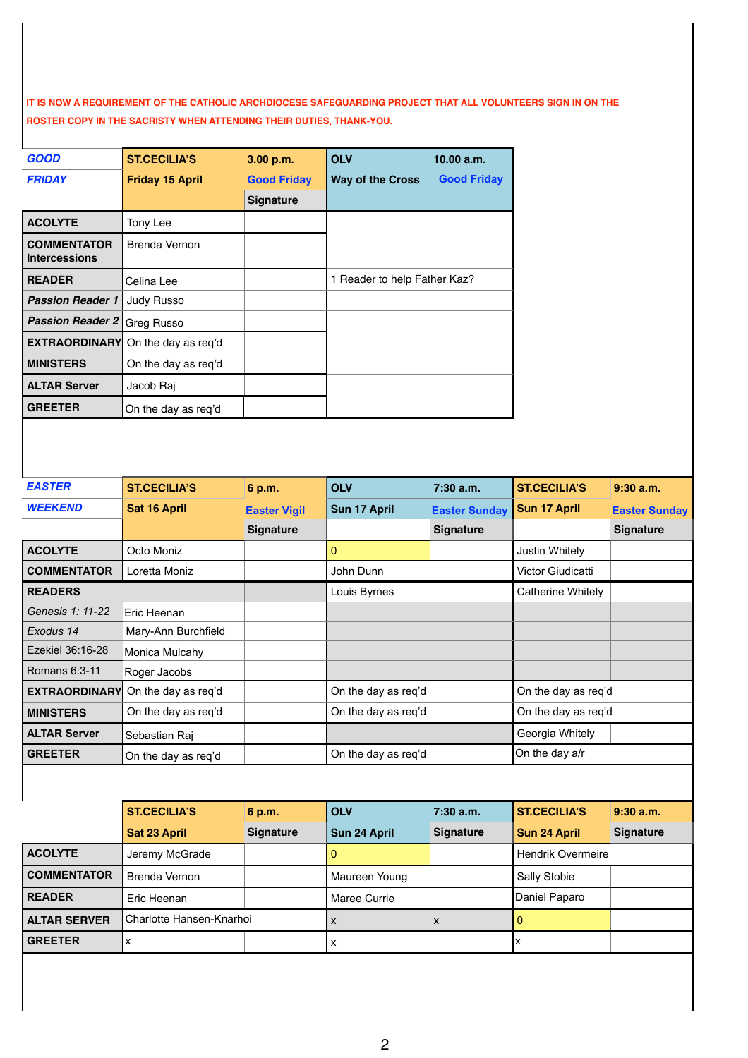**IT IS NOW A REQUIREMENT OF THE CATHOLIC ARCHDIOCESE SAFEGUARDING PROJECT THAT ALL VOLUNTEERS SIGN IN ON THE ROSTER COPY IN THE SACRISTY WHEN ATTENDING THEIR DUTIES, THANK-YOU.**

| GOOD                                       | <b>ST.CECILIA'S</b>    | 3.00 p.m.          | <b>OLV</b>                   | 10.00 a.m.         |
|--------------------------------------------|------------------------|--------------------|------------------------------|--------------------|
| <b>FRIDAY</b>                              | <b>Friday 15 April</b> | <b>Good Friday</b> | <b>Way of the Cross</b>      | <b>Good Friday</b> |
|                                            |                        | <b>Signature</b>   |                              |                    |
| <b>ACOLYTE</b>                             | Tony Lee               |                    |                              |                    |
| <b>COMMENTATOR</b><br><b>Intercessions</b> | Brenda Vernon          |                    |                              |                    |
| <b>READER</b>                              | Celina Lee             |                    | 1 Reader to help Father Kaz? |                    |
| <b>Passion Reader 1</b>                    | Judy Russo             |                    |                              |                    |
| <b>Passion Reader 2</b>                    | Greg Russo             |                    |                              |                    |
| <b>EXTRAORDINARY</b>                       | On the day as req'd    |                    |                              |                    |
| <b>MINISTERS</b>                           | On the day as req'd    |                    |                              |                    |
| <b>ALTAR Server</b>                        | Jacob Raj              |                    |                              |                    |
| <b>GREETER</b>                             | On the day as reg'd    |                    |                              |                    |

| <b>EASTER</b>        | <b>ST.CECILIA'S</b>      | 6 p.m.              | <b>OLV</b>          | $7:30$ a.m.          | <b>ST.CECILIA'S</b>      | $9:30$ a.m.          |
|----------------------|--------------------------|---------------------|---------------------|----------------------|--------------------------|----------------------|
| <b>WEEKEND</b>       | Sat 16 April             | <b>Easter Vigil</b> | Sun 17 April        | <b>Easter Sunday</b> | Sun 17 April             | <b>Easter Sunday</b> |
|                      |                          | <b>Signature</b>    |                     | <b>Signature</b>     |                          | <b>Signature</b>     |
| <b>ACOLYTE</b>       | Octo Moniz               |                     | $\overline{0}$      |                      | <b>Justin Whitely</b>    |                      |
| <b>COMMENTATOR</b>   | Loretta Moniz            |                     | John Dunn           |                      | Victor Giudicatti        |                      |
| <b>READERS</b>       |                          |                     | Louis Byrnes        |                      | Catherine Whitely        |                      |
| Genesis 1: 11-22     | Eric Heenan              |                     |                     |                      |                          |                      |
| Exodus 14            | Mary-Ann Burchfield      |                     |                     |                      |                          |                      |
| Ezekiel 36:16-28     | Monica Mulcahy           |                     |                     |                      |                          |                      |
| Romans 6:3-11        | Roger Jacobs             |                     |                     |                      |                          |                      |
| <b>EXTRAORDINARY</b> | On the day as req'd      |                     | On the day as req'd |                      | On the day as req'd      |                      |
| <b>MINISTERS</b>     | On the day as req'd      |                     | On the day as req'd |                      | On the day as req'd      |                      |
| <b>ALTAR Server</b>  | Sebastian Raj            |                     |                     |                      | Georgia Whitely          |                      |
| <b>GREETER</b>       | On the day as req'd      |                     | On the day as req'd |                      | On the day a/r           |                      |
|                      |                          |                     |                     |                      |                          |                      |
|                      | <b>ST.CECILIA'S</b>      | 6 p.m.              | <b>OLV</b>          | $7:30$ a.m.          | <b>ST.CECILIA'S</b>      | 9:30a.m.             |
|                      | <b>Sat 23 April</b>      | <b>Signature</b>    | Sun 24 April        | <b>Signature</b>     | Sun 24 April             | <b>Signature</b>     |
| <b>ACOLYTE</b>       | Jeremy McGrade           |                     | $\overline{0}$      |                      | <b>Hendrik Overmeire</b> |                      |
| <b>COMMENTATOR</b>   | <b>Brenda Vernon</b>     |                     | Maureen Young       |                      | Sally Stobie             |                      |
| <b>READER</b>        | Eric Heenan              |                     | Maree Currie        |                      | Daniel Paparo            |                      |
| <b>ALTAR SERVER</b>  | Charlotte Hansen-Knarhoi |                     | x                   | X                    | $\overline{0}$           |                      |
| <b>GREETER</b>       | x                        |                     | $\pmb{\times}$      |                      | x                        |                      |
|                      |                          |                     |                     |                      |                          |                      |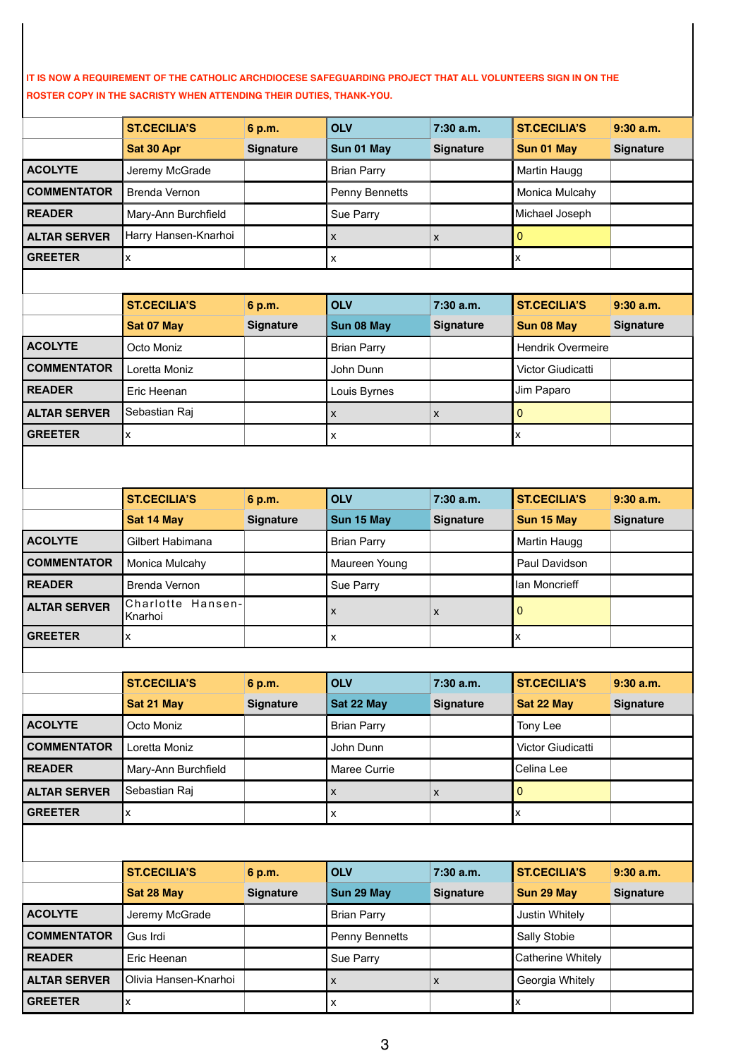**IT IS NOW A REQUIREMENT OF THE CATHOLIC ARCHDIOCESE SAFEGUARDING PROJECT THAT ALL VOLUNTEERS SIGN IN ON THE ROSTER COPY IN THE SACRISTY WHEN ATTENDING THEIR DUTIES, THANK-YOU.**

|                     | <b>ST.CECILIA'S</b>          | 6 p.m.           | <b>OLV</b>         | 7:30 a.m.          | <b>ST.CECILIA'S</b>      | 9:30a.m.         |
|---------------------|------------------------------|------------------|--------------------|--------------------|--------------------------|------------------|
|                     | Sat 30 Apr                   | <b>Signature</b> | Sun 01 May         | <b>Signature</b>   | Sun 01 May               | <b>Signature</b> |
| <b>ACOLYTE</b>      | Jeremy McGrade               |                  | <b>Brian Parry</b> |                    | Martin Haugg             |                  |
| <b>COMMENTATOR</b>  | Brenda Vernon                |                  | Penny Bennetts     |                    | Monica Mulcahy           |                  |
| <b>READER</b>       | Mary-Ann Burchfield          |                  | Sue Parry          |                    | Michael Joseph           |                  |
| <b>ALTAR SERVER</b> | Harry Hansen-Knarhoi         |                  | x                  | X                  | 0                        |                  |
| <b>GREETER</b>      | X                            |                  | x                  |                    | X                        |                  |
|                     |                              |                  |                    |                    |                          |                  |
|                     | <b>ST.CECILIA'S</b>          | 6 p.m.           | <b>OLV</b>         | 7:30a.m.           | <b>ST.CECILIA'S</b>      | $9:30$ a.m.      |
|                     | Sat 07 May                   | Signature        | Sun 08 May         | <b>Signature</b>   | Sun 08 May               | <b>Signature</b> |
| <b>ACOLYTE</b>      | Octo Moniz                   |                  | <b>Brian Parry</b> |                    | <b>Hendrik Overmeire</b> |                  |
| <b>COMMENTATOR</b>  | Loretta Moniz                |                  | John Dunn          |                    | Victor Giudicatti        |                  |
| <b>READER</b>       | Eric Heenan                  |                  | Louis Byrnes       |                    | Jim Paparo               |                  |
| <b>ALTAR SERVER</b> | Sebastian Raj                |                  | X                  | X                  | $\overline{0}$           |                  |
| <b>GREETER</b>      | X                            |                  | X                  |                    | X                        |                  |
|                     |                              |                  |                    |                    |                          |                  |
|                     |                              |                  |                    |                    |                          |                  |
|                     | <b>ST.CECILIA'S</b>          | 6 p.m.           | <b>OLV</b>         | 7:30a.m.           | <b>ST.CECILIA'S</b>      | $9:30$ a.m.      |
|                     | Sat 14 May                   | Signature        | Sun 15 May         | <b>Signature</b>   | Sun 15 May               | <b>Signature</b> |
| <b>ACOLYTE</b>      | Gilbert Habimana             |                  | <b>Brian Parry</b> |                    | Martin Haugg             |                  |
| <b>COMMENTATOR</b>  | Monica Mulcahy               |                  | Maureen Young      |                    | Paul Davidson            |                  |
| <b>READER</b>       | Brenda Vernon                |                  | Sue Parry          |                    | lan Moncrieff            |                  |
| <b>ALTAR SERVER</b> | Charlotte Hansen-<br>Knarhoi |                  | x                  | $\mathsf{x}$       | $\overline{0}$           |                  |
| <b>GREETER</b>      | x                            |                  | x                  |                    | X                        |                  |
|                     |                              |                  |                    |                    |                          |                  |
|                     | <b>ST.CECILIA'S</b>          | 6 p.m.           | <b>OLV</b>         | 7:30 a.m.          | <b>ST.CECILIA'S</b>      | $9:30$ a.m.      |
|                     | Sat 21 May                   | <b>Signature</b> | Sat 22 May         | <b>Signature</b>   | Sat 22 May               | <b>Signature</b> |
| <b>ACOLYTE</b>      | Octo Moniz                   |                  | <b>Brian Parry</b> |                    | Tony Lee                 |                  |
| <b>COMMENTATOR</b>  | Loretta Moniz                |                  | John Dunn          |                    | Victor Giudicatti        |                  |
| <b>READER</b>       | Mary-Ann Burchfield          |                  | Maree Currie       |                    | Celina Lee               |                  |
| <b>ALTAR SERVER</b> | Sebastian Raj                |                  | X                  | X                  | 0                        |                  |
| <b>GREETER</b>      | X.                           |                  | x                  |                    | X                        |                  |
|                     |                              |                  |                    |                    |                          |                  |
|                     | <b>ST.CECILIA'S</b>          | 6 p.m.           | <b>OLV</b>         | 7:30 a.m.          | <b>ST.CECILIA'S</b>      | $9:30$ a.m.      |
|                     | Sat 28 May                   | <b>Signature</b> | Sun 29 May         | <b>Signature</b>   | Sun 29 May               | <b>Signature</b> |
| <b>ACOLYTE</b>      | Jeremy McGrade               |                  | <b>Brian Parry</b> |                    | Justin Whitely           |                  |
| <b>COMMENTATOR</b>  | Gus Irdi                     |                  | Penny Bennetts     |                    | Sally Stobie             |                  |
| <b>READER</b>       | Eric Heenan                  |                  | Sue Parry          |                    | Catherine Whitely        |                  |
| <b>ALTAR SERVER</b> | Olivia Hansen-Knarhoi        |                  | X                  | $\pmb{\mathsf{x}}$ | Georgia Whitely          |                  |

**GREETER**  $\begin{vmatrix} x \end{vmatrix}$  x  $\begin{vmatrix} x \end{vmatrix}$  x  $\begin{vmatrix} x \end{vmatrix}$